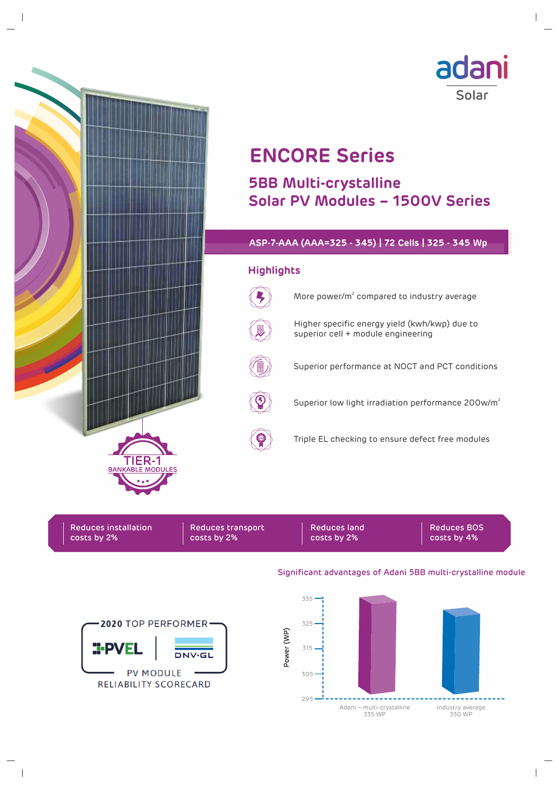

Reduces installation costs by 2%

**:PVEI** 

2020 TOP PERFORMER

**PV MODULE** RELIABILITY SCORECARD

 $NMSG1$ 

Reduces transport costs by 2%

Reduces land costs by 2%

Reduces BOS costs by 4%

## Significant advantages of Adani 5BB multi-crystalline module